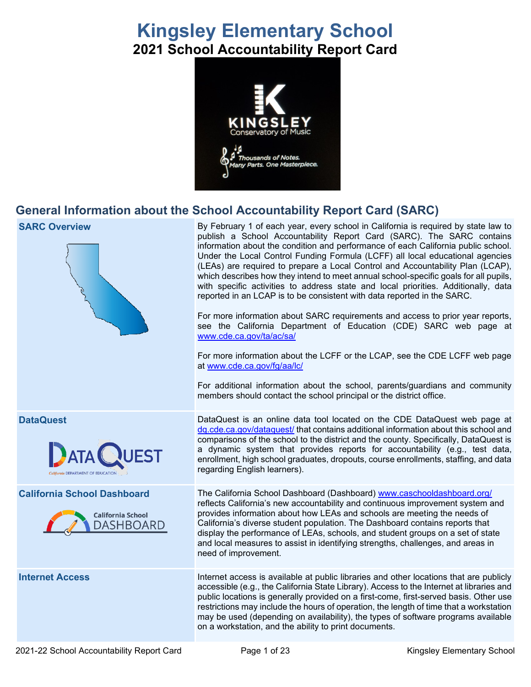# **Kingsley Elementary School 2021 School Accountability Report Card**



## **General Information about the School Accountability Report Card (SARC)**

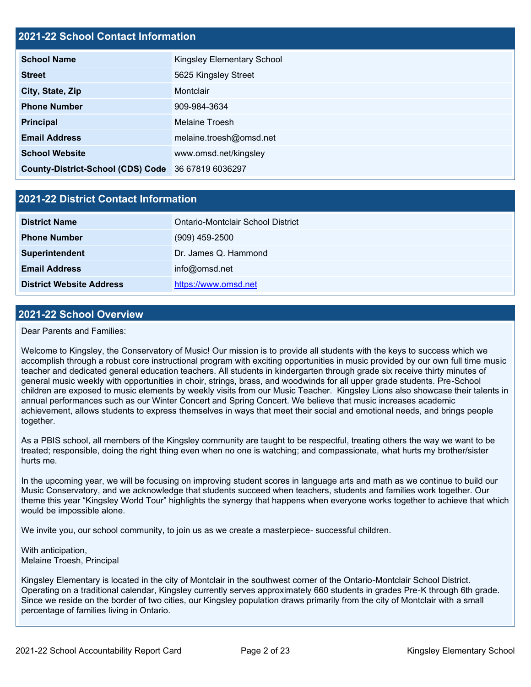## **2021-22 School Contact Information**

| <b>School Name</b>                                 | Kingsley Elementary School |  |  |  |
|----------------------------------------------------|----------------------------|--|--|--|
| <b>Street</b>                                      | 5625 Kingsley Street       |  |  |  |
| City, State, Zip                                   | Montclair                  |  |  |  |
| <b>Phone Number</b>                                | 909-984-3634               |  |  |  |
| <b>Principal</b>                                   | Melaine Troesh             |  |  |  |
| <b>Email Address</b>                               | melaine.troesh@omsd.net    |  |  |  |
| <b>School Website</b>                              | www.omsd.net/kingsley      |  |  |  |
| County-District-School (CDS) Code 36 67819 6036297 |                            |  |  |  |

## **2021-22 District Contact Information**

| <b>District Name</b>            | Ontario-Montclair School District |  |  |
|---------------------------------|-----------------------------------|--|--|
| <b>Phone Number</b>             | $(909)$ 459-2500                  |  |  |
| Superintendent                  | Dr. James Q. Hammond              |  |  |
| <b>Email Address</b>            | info@omsd.net                     |  |  |
| <b>District Website Address</b> | https://www.omsd.net              |  |  |

### **2021-22 School Overview**

Dear Parents and Families:

Welcome to Kingsley, the Conservatory of Music! Our mission is to provide all students with the keys to success which we accomplish through a robust core instructional program with exciting opportunities in music provided by our own full time music teacher and dedicated general education teachers. All students in kindergarten through grade six receive thirty minutes of general music weekly with opportunities in choir, strings, brass, and woodwinds for all upper grade students. Pre-School children are exposed to music elements by weekly visits from our Music Teacher. Kingsley Lions also showcase their talents in annual performances such as our Winter Concert and Spring Concert. We believe that music increases academic achievement, allows students to express themselves in ways that meet their social and emotional needs, and brings people together.

As a PBIS school, all members of the Kingsley community are taught to be respectful, treating others the way we want to be treated; responsible, doing the right thing even when no one is watching; and compassionate, what hurts my brother/sister hurts me.

In the upcoming year, we will be focusing on improving student scores in language arts and math as we continue to build our Music Conservatory, and we acknowledge that students succeed when teachers, students and families work together. Our theme this year "Kingsley World Tour" highlights the synergy that happens when everyone works together to achieve that which would be impossible alone.

We invite you, our school community, to join us as we create a masterpiece- successful children.

With anticipation, Melaine Troesh, Principal

Kingsley Elementary is located in the city of Montclair in the southwest corner of the Ontario-Montclair School District. Operating on a traditional calendar, Kingsley currently serves approximately 660 students in grades Pre-K through 6th grade. Since we reside on the border of two cities, our Kingsley population draws primarily from the city of Montclair with a small percentage of families living in Ontario.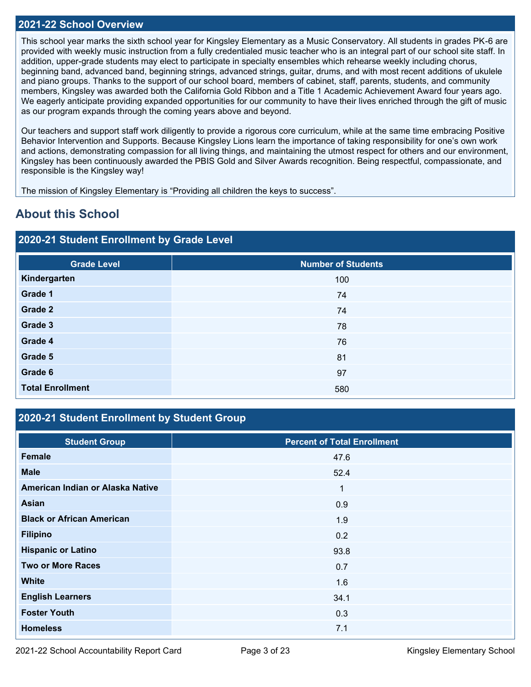### **2021-22 School Overview**

This school year marks the sixth school year for Kingsley Elementary as a Music Conservatory. All students in grades PK-6 are provided with weekly music instruction from a fully credentialed music teacher who is an integral part of our school site staff. In addition, upper-grade students may elect to participate in specialty ensembles which rehearse weekly including chorus, beginning band, advanced band, beginning strings, advanced strings, guitar, drums, and with most recent additions of ukulele and piano groups. Thanks to the support of our school board, members of cabinet, staff, parents, students, and community members, Kingsley was awarded both the California Gold Ribbon and a Title 1 Academic Achievement Award four years ago. We eagerly anticipate providing expanded opportunities for our community to have their lives enriched through the gift of music as our program expands through the coming years above and beyond.

Our teachers and support staff work diligently to provide a rigorous core curriculum, while at the same time embracing Positive Behavior Intervention and Supports. Because Kingsley Lions learn the importance of taking responsibility for one's own work and actions, demonstrating compassion for all living things, and maintaining the utmost respect for others and our environment, Kingsley has been continuously awarded the PBIS Gold and Silver Awards recognition. Being respectful, compassionate, and responsible is the Kingsley way!

The mission of Kingsley Elementary is "Providing all children the keys to success".

## **About this School**

## **2020-21 Student Enrollment by Grade Level**

| <b>Grade Level</b>      | <b>Number of Students</b> |
|-------------------------|---------------------------|
| Kindergarten            | 100                       |
| Grade 1                 | 74                        |
| Grade 2                 | 74                        |
| Grade 3                 | 78                        |
| Grade 4                 | 76                        |
| Grade 5                 | 81                        |
| Grade 6                 | 97                        |
| <b>Total Enrollment</b> | 580                       |

## **2020-21 Student Enrollment by Student Group**

| <b>Student Group</b>             | <b>Percent of Total Enrollment</b> |
|----------------------------------|------------------------------------|
| Female                           | 47.6                               |
| <b>Male</b>                      | 52.4                               |
| American Indian or Alaska Native | $\mathbf{1}$                       |
| <b>Asian</b>                     | 0.9                                |
| <b>Black or African American</b> | 1.9                                |
| <b>Filipino</b>                  | 0.2                                |
| <b>Hispanic or Latino</b>        | 93.8                               |
| <b>Two or More Races</b>         | 0.7                                |
| <b>White</b>                     | 1.6                                |
| <b>English Learners</b>          | 34.1                               |
| <b>Foster Youth</b>              | 0.3                                |
| <b>Homeless</b>                  | 7.1                                |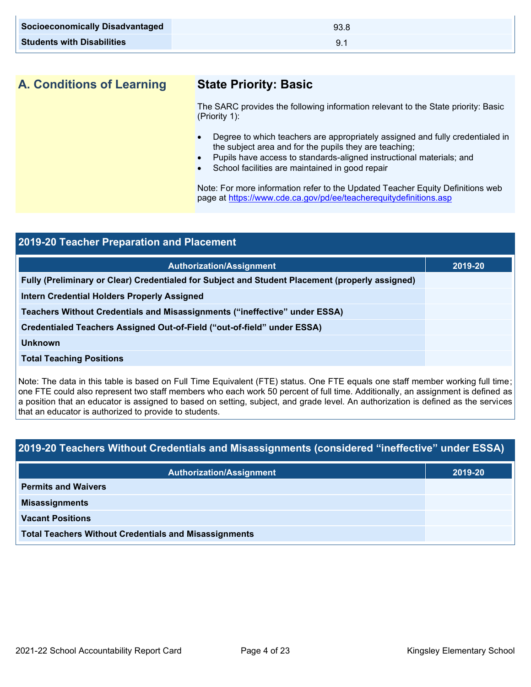| <b>Socioeconomically Disadvantaged</b> | 93.8 |
|----------------------------------------|------|
| <b>Students with Disabilities</b>      |      |

**A. Conditions of Learning State Priority: Basic**

The SARC provides the following information relevant to the State priority: Basic (Priority 1):

- Degree to which teachers are appropriately assigned and fully credentialed in the subject area and for the pupils they are teaching;
- Pupils have access to standards-aligned instructional materials; and
- School facilities are maintained in good repair

Note: For more information refer to the Updated Teacher Equity Definitions web page at<https://www.cde.ca.gov/pd/ee/teacherequitydefinitions.asp>

| 2019-20 Teacher Preparation and Placement                                                       |         |  |  |
|-------------------------------------------------------------------------------------------------|---------|--|--|
| <b>Authorization/Assignment</b>                                                                 | 2019-20 |  |  |
| Fully (Preliminary or Clear) Credentialed for Subject and Student Placement (properly assigned) |         |  |  |
| Intern Credential Holders Properly Assigned                                                     |         |  |  |
| Teachers Without Credentials and Misassignments ("ineffective" under ESSA)                      |         |  |  |
| Credentialed Teachers Assigned Out-of-Field ("out-of-field" under ESSA)                         |         |  |  |
| <b>Unknown</b>                                                                                  |         |  |  |
| <b>Total Teaching Positions</b>                                                                 |         |  |  |
|                                                                                                 |         |  |  |

Note: The data in this table is based on Full Time Equivalent (FTE) status. One FTE equals one staff member working full time; one FTE could also represent two staff members who each work 50 percent of full time. Additionally, an assignment is defined as a position that an educator is assigned to based on setting, subject, and grade level. An authorization is defined as the services that an educator is authorized to provide to students.

## **2019-20 Teachers Without Credentials and Misassignments (considered "ineffective" under ESSA)**

| <b>Authorization/Assignment</b>                              | 2019-20 |  |
|--------------------------------------------------------------|---------|--|
| <b>Permits and Waivers</b>                                   |         |  |
| <b>Misassignments</b>                                        |         |  |
| <b>Vacant Positions</b>                                      |         |  |
| <b>Total Teachers Without Credentials and Misassignments</b> |         |  |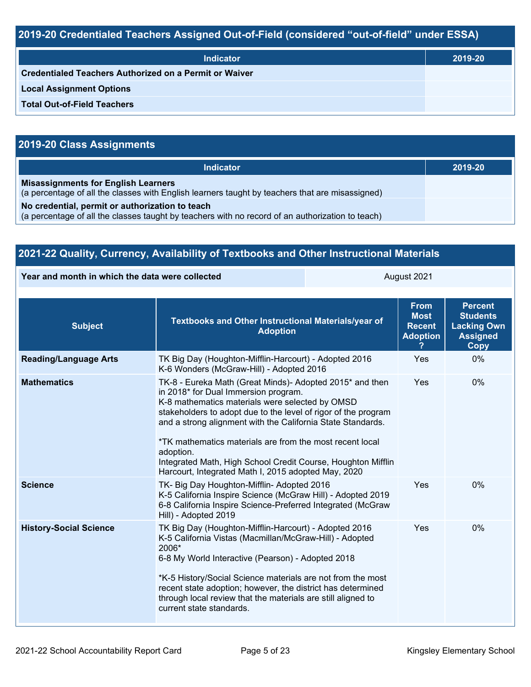## **2019-20 Credentialed Teachers Assigned Out-of-Field (considered "out-of-field" under ESSA)**

| <b>Indicator</b>                                       | 2019-20 |
|--------------------------------------------------------|---------|
| Credentialed Teachers Authorized on a Permit or Waiver |         |
| <b>Local Assignment Options</b>                        |         |
| <b>Total Out-of-Field Teachers</b>                     |         |

## **2019-20 Class Assignments**

| <b>Indicator</b>                                                                                                                                    | 2019-20 |
|-----------------------------------------------------------------------------------------------------------------------------------------------------|---------|
| <b>Misassignments for English Learners</b><br>(a percentage of all the classes with English learners taught by teachers that are misassigned)       |         |
| No credential, permit or authorization to teach<br>(a percentage of all the classes taught by teachers with no record of an authorization to teach) |         |

| 2021-22 Quality, Currency, Availability of Textbooks and Other Instructional Materials |                                                                                                                                                                                                                                                                                                                                                                                                          |                                                                                                                                                                                                                                                                                                                                                                          |                                                                                    |    |  |
|----------------------------------------------------------------------------------------|----------------------------------------------------------------------------------------------------------------------------------------------------------------------------------------------------------------------------------------------------------------------------------------------------------------------------------------------------------------------------------------------------------|--------------------------------------------------------------------------------------------------------------------------------------------------------------------------------------------------------------------------------------------------------------------------------------------------------------------------------------------------------------------------|------------------------------------------------------------------------------------|----|--|
| Year and month in which the data were collected                                        |                                                                                                                                                                                                                                                                                                                                                                                                          | August 2021                                                                                                                                                                                                                                                                                                                                                              |                                                                                    |    |  |
| <b>Subject</b>                                                                         | Textbooks and Other Instructional Materials/year of<br><b>Adoption</b>                                                                                                                                                                                                                                                                                                                                   | <b>From</b><br><b>Most</b><br><b>Recent</b><br><b>Adoption</b>                                                                                                                                                                                                                                                                                                           | <b>Percent</b><br><b>Students</b><br><b>Lacking Own</b><br><b>Assigned</b><br>Copy |    |  |
| <b>Reading/Language Arts</b>                                                           | TK Big Day (Houghton-Mifflin-Harcourt) - Adopted 2016<br>K-6 Wonders (McGraw-Hill) - Adopted 2016                                                                                                                                                                                                                                                                                                        |                                                                                                                                                                                                                                                                                                                                                                          | Yes                                                                                | 0% |  |
| <b>Mathematics</b>                                                                     | in 2018* for Dual Immersion program.<br>adoption.<br>Harcourt, Integrated Math I, 2015 adopted May, 2020                                                                                                                                                                                                                                                                                                 | TK-8 - Eureka Math (Great Minds)- Adopted 2015* and then<br>K-8 mathematics materials were selected by OMSD<br>stakeholders to adopt due to the level of rigor of the program<br>and a strong alignment with the California State Standards.<br>*TK mathematics materials are from the most recent local<br>Integrated Math, High School Credit Course, Houghton Mifflin |                                                                                    |    |  |
| <b>Science</b>                                                                         | TK- Big Day Houghton-Mifflin- Adopted 2016<br>K-5 California Inspire Science (McGraw Hill) - Adopted 2019<br>6-8 California Inspire Science-Preferred Integrated (McGraw<br>Hill) - Adopted 2019                                                                                                                                                                                                         | Yes                                                                                                                                                                                                                                                                                                                                                                      | 0%                                                                                 |    |  |
| <b>History-Social Science</b>                                                          | TK Big Day (Houghton-Mifflin-Harcourt) - Adopted 2016<br>K-5 California Vistas (Macmillan/McGraw-Hill) - Adopted<br>2006*<br>6-8 My World Interactive (Pearson) - Adopted 2018<br>*K-5 History/Social Science materials are not from the most<br>recent state adoption; however, the district has determined<br>through local review that the materials are still aligned to<br>current state standards. |                                                                                                                                                                                                                                                                                                                                                                          | Yes                                                                                | 0% |  |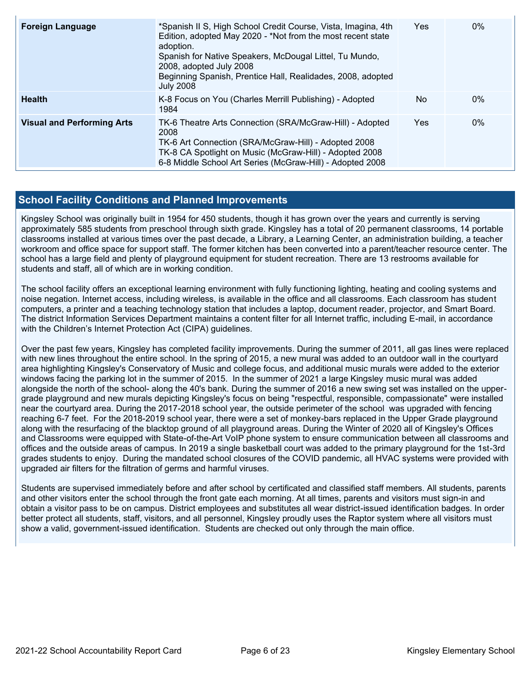| <b>Foreign Language</b>           | *Spanish II S, High School Credit Course, Vista, Imagina, 4th<br>Edition, adopted May 2020 - *Not from the most recent state<br>adoption.<br>Spanish for Native Speakers, McDougal Littel, Tu Mundo,<br>2008, adopted July 2008<br>Beginning Spanish, Prentice Hall, Realidades, 2008, adopted<br><b>July 2008</b> | Yes | $0\%$ |
|-----------------------------------|--------------------------------------------------------------------------------------------------------------------------------------------------------------------------------------------------------------------------------------------------------------------------------------------------------------------|-----|-------|
| <b>Health</b>                     | K-8 Focus on You (Charles Merrill Publishing) - Adopted<br>1984                                                                                                                                                                                                                                                    | No  | $0\%$ |
| <b>Visual and Performing Arts</b> | TK-6 Theatre Arts Connection (SRA/McGraw-Hill) - Adopted<br>2008<br>TK-6 Art Connection (SRA/McGraw-Hill) - Adopted 2008<br>TK-8 CA Spotlight on Music (McGraw-Hill) - Adopted 2008<br>6-8 Middle School Art Series (McGraw-Hill) - Adopted 2008                                                                   | Yes | $0\%$ |

## **School Facility Conditions and Planned Improvements**

Kingsley School was originally built in 1954 for 450 students, though it has grown over the years and currently is serving approximately 585 students from preschool through sixth grade. Kingsley has a total of 20 permanent classrooms, 14 portable classrooms installed at various times over the past decade, a Library, a Learning Center, an administration building, a teacher workroom and office space for support staff. The former kitchen has been converted into a parent/teacher resource center. The school has a large field and plenty of playground equipment for student recreation. There are 13 restrooms available for students and staff, all of which are in working condition.

The school facility offers an exceptional learning environment with fully functioning lighting, heating and cooling systems and noise negation. Internet access, including wireless, is available in the office and all classrooms. Each classroom has student computers, a printer and a teaching technology station that includes a laptop, document reader, projector, and Smart Board. The district Information Services Department maintains a content filter for all Internet traffic, including E-mail, in accordance with the Children's Internet Protection Act (CIPA) guidelines.

Over the past few years, Kingsley has completed facility improvements. During the summer of 2011, all gas lines were replaced with new lines throughout the entire school. In the spring of 2015, a new mural was added to an outdoor wall in the courtyard area highlighting Kingsley's Conservatory of Music and college focus, and additional music murals were added to the exterior windows facing the parking lot in the summer of 2015. In the summer of 2021 a large Kingsley music mural was added alongside the north of the school- along the 40's bank. During the summer of 2016 a new swing set was installed on the uppergrade playground and new murals depicting Kingsley's focus on being "respectful, responsible, compassionate" were installed near the courtyard area. During the 2017-2018 school year, the outside perimeter of the school was upgraded with fencing reaching 6-7 feet. For the 2018-2019 school year, there were a set of monkey-bars replaced in the Upper Grade playground along with the resurfacing of the blacktop ground of all playground areas. During the Winter of 2020 all of Kingsley's Offices and Classrooms were equipped with State-of-the-Art VoIP phone system to ensure communication between all classrooms and offices and the outside areas of campus. In 2019 a single basketball court was added to the primary playground for the 1st-3rd grades students to enjoy. During the mandated school closures of the COVID pandemic, all HVAC systems were provided with upgraded air filters for the filtration of germs and harmful viruses.

Students are supervised immediately before and after school by certificated and classified staff members. All students, parents and other visitors enter the school through the front gate each morning. At all times, parents and visitors must sign-in and obtain a visitor pass to be on campus. District employees and substitutes all wear district-issued identification badges. In order better protect all students, staff, visitors, and all personnel, Kingsley proudly uses the Raptor system where all visitors must show a valid, government-issued identification. Students are checked out only through the main office.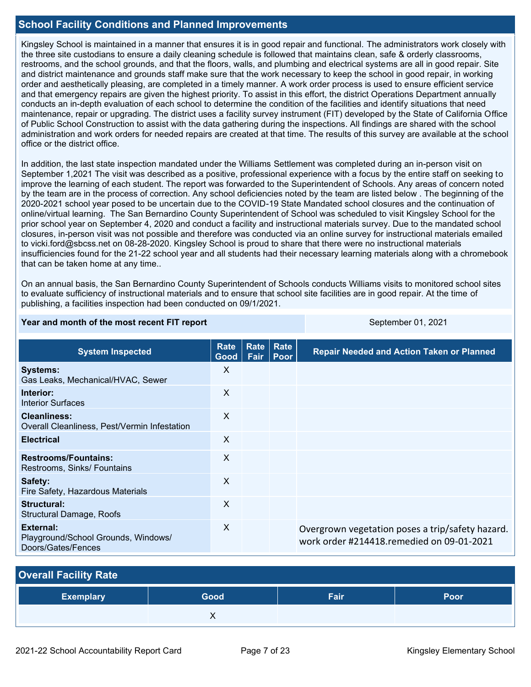## **School Facility Conditions and Planned Improvements**

Kingsley School is maintained in a manner that ensures it is in good repair and functional. The administrators work closely with the three site custodians to ensure a daily cleaning schedule is followed that maintains clean, safe & orderly classrooms, restrooms, and the school grounds, and that the floors, walls, and plumbing and electrical systems are all in good repair. Site and district maintenance and grounds staff make sure that the work necessary to keep the school in good repair, in working order and aesthetically pleasing, are completed in a timely manner. A work order process is used to ensure efficient service and that emergency repairs are given the highest priority. To assist in this effort, the district Operations Department annually conducts an in-depth evaluation of each school to determine the condition of the facilities and identify situations that need maintenance, repair or upgrading. The district uses a facility survey instrument (FIT) developed by the State of California Office of Public School Construction to assist with the data gathering during the inspections. All findings are shared with the school administration and work orders for needed repairs are created at that time. The results of this survey are available at the school office or the district office.

In addition, the last state inspection mandated under the Williams Settlement was completed during an in-person visit on September 1,2021 The visit was described as a positive, professional experience with a focus by the entire staff on seeking to improve the learning of each student. The report was forwarded to the Superintendent of Schools. Any areas of concern noted by the team are in the process of correction. Any school deficiencies noted by the team are listed below . The beginning of the 2020-2021 school year posed to be uncertain due to the COVID-19 State Mandated school closures and the continuation of online/virtual learning. The San Bernardino County Superintendent of School was scheduled to visit Kingsley School for the prior school year on September 4, 2020 and conduct a facility and instructional materials survey. Due to the mandated school closures, in-person visit was not possible and therefore was conducted via an online survey for instructional materials emailed to vicki.ford@sbcss.net on 08-28-2020. Kingsley School is proud to share that there were no instructional materials insufficiencies found for the 21-22 school year and all students had their necessary learning materials along with a chromebook that can be taken home at any time..

On an annual basis, the San Bernardino County Superintendent of Schools conducts Williams visits to monitored school sites to evaluate sufficiency of instructional materials and to ensure that school site facilities are in good repair. At the time of publishing, a facilities inspection had been conducted on 09/1/2021.

### **Year and month of the most recent FIT report** September 01, 2021

| <b>System Inspected</b>                                                | <b>Rate</b><br>Good       | Rate<br>Fair | Rate<br>$ $ Poor | <b>Repair Needed and Action Taken or Planned</b>                                              |
|------------------------------------------------------------------------|---------------------------|--------------|------------------|-----------------------------------------------------------------------------------------------|
| <b>Systems:</b><br>Gas Leaks, Mechanical/HVAC, Sewer                   | X                         |              |                  |                                                                                               |
| Interior:<br>Interior Surfaces                                         | X                         |              |                  |                                                                                               |
| <b>Cleanliness:</b><br>Overall Cleanliness, Pest/Vermin Infestation    | $\boldsymbol{\mathsf{X}}$ |              |                  |                                                                                               |
| <b>Electrical</b>                                                      | X                         |              |                  |                                                                                               |
| <b>Restrooms/Fountains:</b><br>Restrooms, Sinks/ Fountains             | X                         |              |                  |                                                                                               |
| Safety:<br>Fire Safety, Hazardous Materials                            | $\boldsymbol{\mathsf{X}}$ |              |                  |                                                                                               |
| Structural:<br>Structural Damage, Roofs                                | X                         |              |                  |                                                                                               |
| External:<br>Playground/School Grounds, Windows/<br>Doors/Gates/Fences | $\boldsymbol{\mathsf{X}}$ |              |                  | Overgrown vegetation poses a trip/safety hazard.<br>work order #214418.remedied on 09-01-2021 |

| <b>Overall Facility Rate</b> |      |      |      |  |  |  |  |  |
|------------------------------|------|------|------|--|--|--|--|--|
| <b>Exemplary</b>             | Good | Fair | Poor |  |  |  |  |  |
|                              |      |      |      |  |  |  |  |  |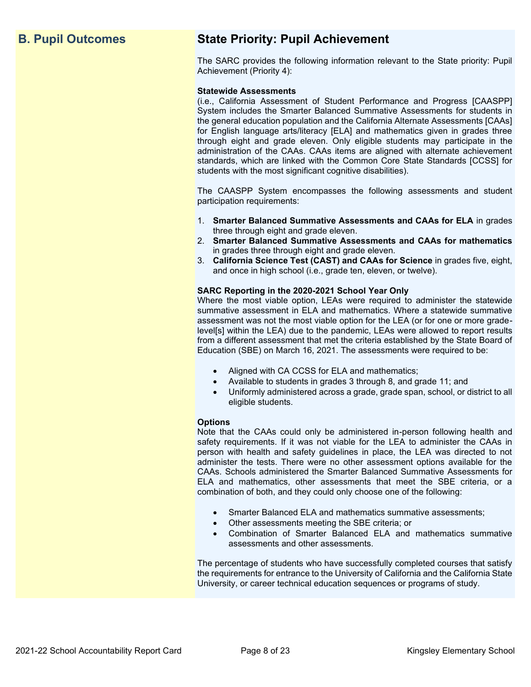## **B. Pupil Outcomes State Priority: Pupil Achievement**

The SARC provides the following information relevant to the State priority: Pupil Achievement (Priority 4):

### **Statewide Assessments**

(i.e., California Assessment of Student Performance and Progress [CAASPP] System includes the Smarter Balanced Summative Assessments for students in the general education population and the California Alternate Assessments [CAAs] for English language arts/literacy [ELA] and mathematics given in grades three through eight and grade eleven. Only eligible students may participate in the administration of the CAAs. CAAs items are aligned with alternate achievement standards, which are linked with the Common Core State Standards [CCSS] for students with the most significant cognitive disabilities).

The CAASPP System encompasses the following assessments and student participation requirements:

- 1. **Smarter Balanced Summative Assessments and CAAs for ELA** in grades three through eight and grade eleven.
- 2. **Smarter Balanced Summative Assessments and CAAs for mathematics** in grades three through eight and grade eleven.
- 3. **California Science Test (CAST) and CAAs for Science** in grades five, eight, and once in high school (i.e., grade ten, eleven, or twelve).

### **SARC Reporting in the 2020-2021 School Year Only**

Where the most viable option, LEAs were required to administer the statewide summative assessment in ELA and mathematics. Where a statewide summative assessment was not the most viable option for the LEA (or for one or more gradelevel[s] within the LEA) due to the pandemic, LEAs were allowed to report results from a different assessment that met the criteria established by the State Board of Education (SBE) on March 16, 2021. The assessments were required to be:

- Aligned with CA CCSS for ELA and mathematics;
- Available to students in grades 3 through 8, and grade 11; and
- Uniformly administered across a grade, grade span, school, or district to all eligible students.

### **Options**

Note that the CAAs could only be administered in-person following health and safety requirements. If it was not viable for the LEA to administer the CAAs in person with health and safety guidelines in place, the LEA was directed to not administer the tests. There were no other assessment options available for the CAAs. Schools administered the Smarter Balanced Summative Assessments for ELA and mathematics, other assessments that meet the SBE criteria, or a combination of both, and they could only choose one of the following:

- Smarter Balanced ELA and mathematics summative assessments;
- Other assessments meeting the SBE criteria; or
- Combination of Smarter Balanced ELA and mathematics summative assessments and other assessments.

The percentage of students who have successfully completed courses that satisfy the requirements for entrance to the University of California and the California State University, or career technical education sequences or programs of study.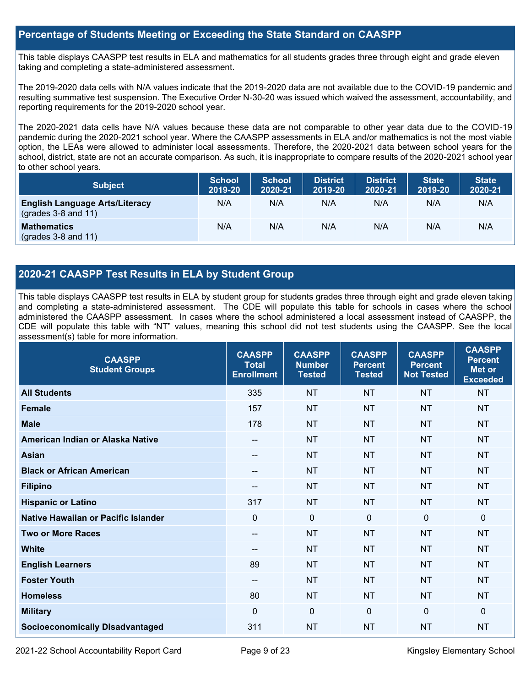## **Percentage of Students Meeting or Exceeding the State Standard on CAASPP**

This table displays CAASPP test results in ELA and mathematics for all students grades three through eight and grade eleven taking and completing a state-administered assessment.

The 2019-2020 data cells with N/A values indicate that the 2019-2020 data are not available due to the COVID-19 pandemic and resulting summative test suspension. The Executive Order N-30-20 was issued which waived the assessment, accountability, and reporting requirements for the 2019-2020 school year.

The 2020-2021 data cells have N/A values because these data are not comparable to other year data due to the COVID-19 pandemic during the 2020-2021 school year. Where the CAASPP assessments in ELA and/or mathematics is not the most viable option, the LEAs were allowed to administer local assessments. Therefore, the 2020-2021 data between school years for the school, district, state are not an accurate comparison. As such, it is inappropriate to compare results of the 2020-2021 school year to other school years.

| <b>Subject</b>                                                       | <b>School</b><br>2019-20 | <b>School</b><br>2020-21 | <b>District</b><br>2019-20 | <b>District</b><br>2020-21 | <b>State</b><br>2019-20 | <b>State</b><br>2020-21 |
|----------------------------------------------------------------------|--------------------------|--------------------------|----------------------------|----------------------------|-------------------------|-------------------------|
| <b>English Language Arts/Literacy</b><br>$\left($ grades 3-8 and 11) | N/A                      | N/A                      | N/A                        | N/A                        | N/A                     | N/A                     |
| <b>Mathematics</b><br>$(grades 3-8 and 11)$                          | N/A                      | N/A                      | N/A                        | N/A                        | N/A                     | N/A                     |

## **2020-21 CAASPP Test Results in ELA by Student Group**

This table displays CAASPP test results in ELA by student group for students grades three through eight and grade eleven taking and completing a state-administered assessment. The CDE will populate this table for schools in cases where the school administered the CAASPP assessment. In cases where the school administered a local assessment instead of CAASPP, the CDE will populate this table with "NT" values, meaning this school did not test students using the CAASPP. See the local assessment(s) table for more information.

| <b>CAASPP</b><br><b>Student Groups</b> | <b>CAASPP</b><br><b>Total</b><br><b>Enrollment</b> | <b>CAASPP</b><br><b>Number</b><br><b>Tested</b> | <b>CAASPP</b><br><b>Percent</b><br><b>Tested</b> | <b>CAASPP</b><br><b>Percent</b><br><b>Not Tested</b> | <b>CAASPP</b><br><b>Percent</b><br>Met or<br><b>Exceeded</b> |
|----------------------------------------|----------------------------------------------------|-------------------------------------------------|--------------------------------------------------|------------------------------------------------------|--------------------------------------------------------------|
| <b>All Students</b>                    | 335                                                | <b>NT</b>                                       | <b>NT</b>                                        | <b>NT</b>                                            | <b>NT</b>                                                    |
| <b>Female</b>                          | 157                                                | <b>NT</b>                                       | <b>NT</b>                                        | <b>NT</b>                                            | <b>NT</b>                                                    |
| <b>Male</b>                            | 178                                                | <b>NT</b>                                       | <b>NT</b>                                        | <b>NT</b>                                            | <b>NT</b>                                                    |
| American Indian or Alaska Native       | $- -$                                              | <b>NT</b>                                       | <b>NT</b>                                        | <b>NT</b>                                            | <b>NT</b>                                                    |
| <b>Asian</b>                           | --                                                 | <b>NT</b>                                       | <b>NT</b>                                        | <b>NT</b>                                            | <b>NT</b>                                                    |
| <b>Black or African American</b>       | $\qquad \qquad -$                                  | <b>NT</b>                                       | <b>NT</b>                                        | <b>NT</b>                                            | <b>NT</b>                                                    |
| <b>Filipino</b>                        | --                                                 | <b>NT</b>                                       | <b>NT</b>                                        | <b>NT</b>                                            | <b>NT</b>                                                    |
| <b>Hispanic or Latino</b>              | 317                                                | <b>NT</b>                                       | <b>NT</b>                                        | <b>NT</b>                                            | <b>NT</b>                                                    |
| Native Hawaiian or Pacific Islander    | $\mathbf 0$                                        | $\mathbf 0$                                     | $\mathbf 0$                                      | $\mathbf 0$                                          | 0                                                            |
| <b>Two or More Races</b>               | $\qquad \qquad -$                                  | <b>NT</b>                                       | <b>NT</b>                                        | <b>NT</b>                                            | <b>NT</b>                                                    |
| <b>White</b>                           | $- -$                                              | <b>NT</b>                                       | <b>NT</b>                                        | <b>NT</b>                                            | <b>NT</b>                                                    |
| <b>English Learners</b>                | 89                                                 | <b>NT</b>                                       | <b>NT</b>                                        | <b>NT</b>                                            | <b>NT</b>                                                    |
| <b>Foster Youth</b>                    | $-$                                                | <b>NT</b>                                       | <b>NT</b>                                        | <b>NT</b>                                            | <b>NT</b>                                                    |
| <b>Homeless</b>                        | 80                                                 | <b>NT</b>                                       | <b>NT</b>                                        | <b>NT</b>                                            | <b>NT</b>                                                    |
| <b>Military</b>                        | $\Omega$                                           | $\mathbf 0$                                     | $\mathbf{0}$                                     | $\mathbf 0$                                          | 0                                                            |
| <b>Socioeconomically Disadvantaged</b> | 311                                                | <b>NT</b>                                       | <b>NT</b>                                        | <b>NT</b>                                            | <b>NT</b>                                                    |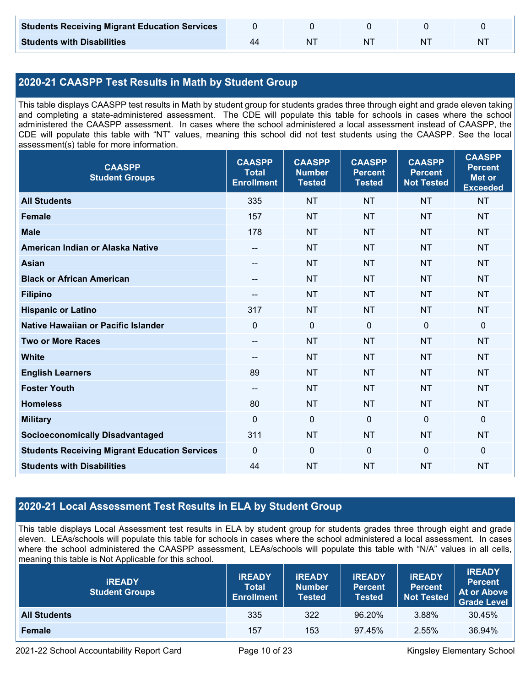| <b>Students Receiving Migrant Education Services</b> |  |    |   |
|------------------------------------------------------|--|----|---|
| <b>Students with Disabilities</b>                    |  | ΝI | N |

## **2020-21 CAASPP Test Results in Math by Student Group**

This table displays CAASPP test results in Math by student group for students grades three through eight and grade eleven taking and completing a state-administered assessment. The CDE will populate this table for schools in cases where the school administered the CAASPP assessment. In cases where the school administered a local assessment instead of CAASPP, the CDE will populate this table with "NT" values, meaning this school did not test students using the CAASPP. See the local assessment(s) table for more information.

| <b>CAASPP</b><br><b>Student Groups</b>               | <b>CAASPP</b><br><b>Total</b><br><b>Enrollment</b> | <b>CAASPP</b><br><b>Number</b><br><b>Tested</b> | <b>CAASPP</b><br><b>Percent</b><br><b>Tested</b> | <b>CAASPP</b><br><b>Percent</b><br><b>Not Tested</b> | <b>CAASPP</b><br><b>Percent</b><br><b>Met or</b><br><b>Exceeded</b> |
|------------------------------------------------------|----------------------------------------------------|-------------------------------------------------|--------------------------------------------------|------------------------------------------------------|---------------------------------------------------------------------|
| <b>All Students</b>                                  | 335                                                | <b>NT</b>                                       | <b>NT</b>                                        | <b>NT</b>                                            | <b>NT</b>                                                           |
| <b>Female</b>                                        | 157                                                | <b>NT</b>                                       | <b>NT</b>                                        | <b>NT</b>                                            | <b>NT</b>                                                           |
| <b>Male</b>                                          | 178                                                | <b>NT</b>                                       | <b>NT</b>                                        | <b>NT</b>                                            | <b>NT</b>                                                           |
| American Indian or Alaska Native                     | $\hspace{0.05cm}$ – $\hspace{0.05cm}$              | <b>NT</b>                                       | <b>NT</b>                                        | <b>NT</b>                                            | <b>NT</b>                                                           |
| <b>Asian</b>                                         | --                                                 | <b>NT</b>                                       | <b>NT</b>                                        | <b>NT</b>                                            | <b>NT</b>                                                           |
| <b>Black or African American</b>                     | $\hspace{0.05cm}$ – $\hspace{0.05cm}$              | <b>NT</b>                                       | <b>NT</b>                                        | <b>NT</b>                                            | <b>NT</b>                                                           |
| <b>Filipino</b>                                      |                                                    | <b>NT</b>                                       | <b>NT</b>                                        | <b>NT</b>                                            | <b>NT</b>                                                           |
| <b>Hispanic or Latino</b>                            | 317                                                | <b>NT</b>                                       | <b>NT</b>                                        | <b>NT</b>                                            | <b>NT</b>                                                           |
| <b>Native Hawaiian or Pacific Islander</b>           | $\mathbf 0$                                        | $\mathbf 0$                                     | $\mathbf 0$                                      | $\mathbf 0$                                          | $\mathbf 0$                                                         |
| <b>Two or More Races</b>                             | $\hspace{0.05cm}$ – $\hspace{0.05cm}$              | <b>NT</b>                                       | <b>NT</b>                                        | <b>NT</b>                                            | <b>NT</b>                                                           |
| <b>White</b>                                         | $\overline{\phantom{m}}$                           | <b>NT</b>                                       | <b>NT</b>                                        | <b>NT</b>                                            | <b>NT</b>                                                           |
| <b>English Learners</b>                              | 89                                                 | <b>NT</b>                                       | <b>NT</b>                                        | <b>NT</b>                                            | <b>NT</b>                                                           |
| <b>Foster Youth</b>                                  | $\hspace{0.05cm}$ – $\hspace{0.05cm}$              | <b>NT</b>                                       | <b>NT</b>                                        | <b>NT</b>                                            | <b>NT</b>                                                           |
| <b>Homeless</b>                                      | 80                                                 | <b>NT</b>                                       | <b>NT</b>                                        | <b>NT</b>                                            | <b>NT</b>                                                           |
| <b>Military</b>                                      | $\mathbf{0}$                                       | $\mathbf 0$                                     | $\mathbf 0$                                      | $\mathbf 0$                                          | $\mathbf 0$                                                         |
| <b>Socioeconomically Disadvantaged</b>               | 311                                                | <b>NT</b>                                       | <b>NT</b>                                        | <b>NT</b>                                            | <b>NT</b>                                                           |
| <b>Students Receiving Migrant Education Services</b> | $\mathbf 0$                                        | $\mathbf 0$                                     | $\mathbf 0$                                      | $\mathbf 0$                                          | $\mathbf 0$                                                         |
| <b>Students with Disabilities</b>                    | 44                                                 | <b>NT</b>                                       | <b>NT</b>                                        | <b>NT</b>                                            | <b>NT</b>                                                           |

## **2020-21 Local Assessment Test Results in ELA by Student Group**

This table displays Local Assessment test results in ELA by student group for students grades three through eight and grade eleven. LEAs/schools will populate this table for schools in cases where the school administered a local assessment. In cases where the school administered the CAASPP assessment, LEAs/schools will populate this table with "N/A" values in all cells, meaning this table is Not Applicable for this school.

| <b>IREADY</b><br><b>Student Groups</b> | <b>IREADY</b><br><b>Total</b><br><b>Enrollment</b> | <b>IREADY</b><br><b>Number</b><br><b>Tested</b> | <b><i>IREADY</i></b><br><b>Percent</b><br><b>Tested</b> | <b>IREADY</b><br><b>Percent</b><br><b>Not Tested</b> | <b>IREADY</b><br><b>Percent</b><br><b>At or Above</b><br><b>Grade Level</b> |
|----------------------------------------|----------------------------------------------------|-------------------------------------------------|---------------------------------------------------------|------------------------------------------------------|-----------------------------------------------------------------------------|
| <b>All Students</b>                    | 335                                                | 322                                             | 96.20%                                                  | 3.88%                                                | 30.45%                                                                      |
| Female                                 | 157                                                | 153                                             | 97.45%                                                  | 2.55%                                                | 36.94%                                                                      |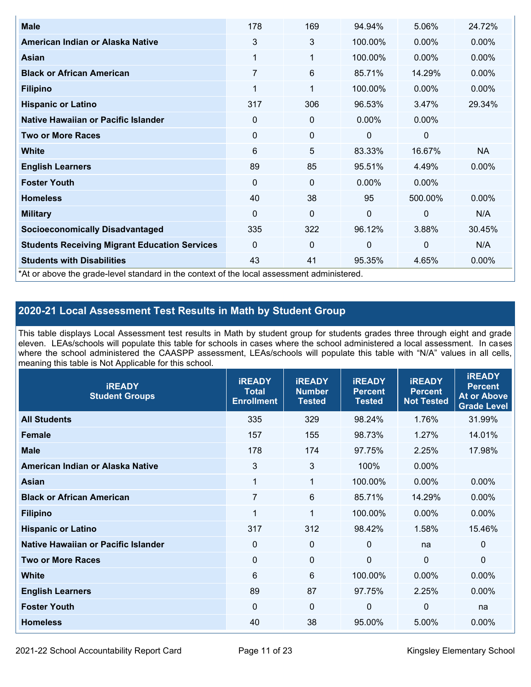| <b>Male</b>                                                                                | 178            | 169         | 94.94%       | 5.06%        | 24.72%    |
|--------------------------------------------------------------------------------------------|----------------|-------------|--------------|--------------|-----------|
| American Indian or Alaska Native                                                           | 3              | 3           | 100.00%      | $0.00\%$     | 0.00%     |
| <b>Asian</b>                                                                               | 1              | 1           | 100.00%      | $0.00\%$     | 0.00%     |
| <b>Black or African American</b>                                                           | $\overline{7}$ | 6           | 85.71%       | 14.29%       | $0.00\%$  |
| <b>Filipino</b>                                                                            | 1              | 1           | 100.00%      | $0.00\%$     | 0.00%     |
| <b>Hispanic or Latino</b>                                                                  | 317            | 306         | 96.53%       | 3.47%        | 29.34%    |
| Native Hawaiian or Pacific Islander                                                        | 0              | 0           | $0.00\%$     | $0.00\%$     |           |
| <b>Two or More Races</b>                                                                   | $\mathbf 0$    | 0           | 0            | 0            |           |
| White                                                                                      | 6              | 5           | 83.33%       | 16.67%       | <b>NA</b> |
| <b>English Learners</b>                                                                    | 89             | 85          | 95.51%       | 4.49%        | $0.00\%$  |
| <b>Foster Youth</b>                                                                        | $\Omega$       | 0           | $0.00\%$     | $0.00\%$     |           |
| <b>Homeless</b>                                                                            | 40             | 38          | 95           | 500.00%      | $0.00\%$  |
| <b>Military</b>                                                                            | $\Omega$       | $\mathbf 0$ | $\mathbf{0}$ | $\mathbf{0}$ | N/A       |
| <b>Socioeconomically Disadvantaged</b>                                                     | 335            | 322         | 96.12%       | 3.88%        | 30.45%    |
| <b>Students Receiving Migrant Education Services</b>                                       | $\Omega$       | 0           | 0            | $\mathbf 0$  | N/A       |
| <b>Students with Disabilities</b>                                                          | 43             | 41          | 95.35%       | 4.65%        | 0.00%     |
| *At or above the grade-level standard in the context of the local assessment administered. |                |             |              |              |           |

## **2020-21 Local Assessment Test Results in Math by Student Group**

This table displays Local Assessment test results in Math by student group for students grades three through eight and grade eleven. LEAs/schools will populate this table for schools in cases where the school administered a local assessment. In cases where the school administered the CAASPP assessment, LEAs/schools will populate this table with "N/A" values in all cells, meaning this table is Not Applicable for this school.

| <b>IREADY</b><br><b>Student Groups</b> | <b>IREADY</b><br><b>Total</b><br><b>Enrollment</b> | <b>IREADY</b><br><b>Number</b><br><b>Tested</b> | <b>IREADY</b><br><b>Percent</b><br><b>Tested</b> | <b>IREADY</b><br><b>Percent</b><br><b>Not Tested</b> | <b>IREADY</b><br><b>Percent</b><br><b>At or Above</b><br><b>Grade Level</b> |
|----------------------------------------|----------------------------------------------------|-------------------------------------------------|--------------------------------------------------|------------------------------------------------------|-----------------------------------------------------------------------------|
| <b>All Students</b>                    | 335                                                | 329                                             | 98.24%                                           | 1.76%                                                | 31.99%                                                                      |
| <b>Female</b>                          | 157                                                | 155                                             | 98.73%                                           | 1.27%                                                | 14.01%                                                                      |
| <b>Male</b>                            | 178                                                | 174                                             | 97.75%                                           | 2.25%                                                | 17.98%                                                                      |
| American Indian or Alaska Native       | $\mathfrak{B}$                                     | 3                                               | 100%                                             | 0.00%                                                |                                                                             |
| Asian                                  | $\mathbf{1}$                                       | $\mathbf{1}$                                    | 100.00%                                          | 0.00%                                                | 0.00%                                                                       |
| <b>Black or African American</b>       | $\overline{7}$                                     | 6                                               | 85.71%                                           | 14.29%                                               | 0.00%                                                                       |
| <b>Filipino</b>                        | 1                                                  | $\mathbf 1$                                     | 100.00%                                          | 0.00%                                                | $0.00\%$                                                                    |
| <b>Hispanic or Latino</b>              | 317                                                | 312                                             | 98.42%                                           | 1.58%                                                | 15.46%                                                                      |
| Native Hawaiian or Pacific Islander    | 0                                                  | $\mathbf 0$                                     | $\mathbf{0}$                                     | na                                                   | 0                                                                           |
| <b>Two or More Races</b>               | 0                                                  | $\mathbf{0}$                                    | $\Omega$                                         | $\mathbf 0$                                          | $\Omega$                                                                    |
| <b>White</b>                           | 6                                                  | 6                                               | 100.00%                                          | 0.00%                                                | $0.00\%$                                                                    |
| <b>English Learners</b>                | 89                                                 | 87                                              | 97.75%                                           | 2.25%                                                | $0.00\%$                                                                    |
| <b>Foster Youth</b>                    | $\mathbf 0$                                        | $\mathbf 0$                                     | $\mathbf 0$                                      | $\mathbf 0$                                          | na                                                                          |
| <b>Homeless</b>                        | 40                                                 | 38                                              | 95.00%                                           | 5.00%                                                | 0.00%                                                                       |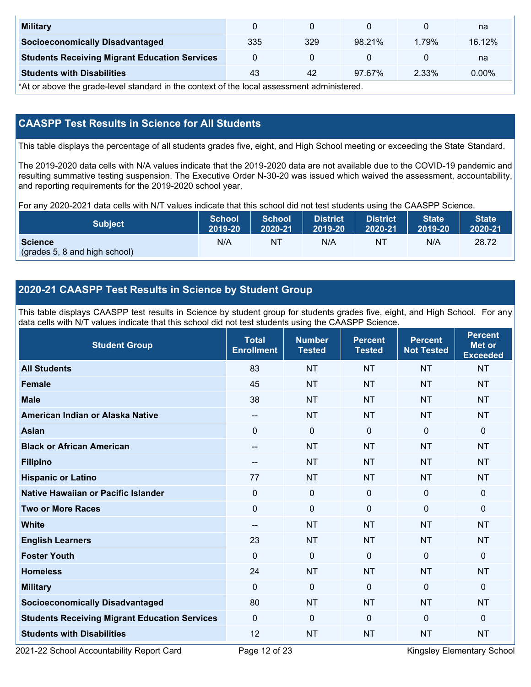| <b>Military</b>                                      |     |     |        |       | na       |
|------------------------------------------------------|-----|-----|--------|-------|----------|
| <b>Socioeconomically Disadvantaged</b>               | 335 | 329 | 98.21% | 1.79% | 16.12%   |
| <b>Students Receiving Migrant Education Services</b> |     |     |        |       | na       |
| <b>Students with Disabilities</b>                    | 43  | 42  | 97.67% | 2.33% | $0.00\%$ |

\*At or above the grade-level standard in the context of the local assessment administered.

## **CAASPP Test Results in Science for All Students**

This table displays the percentage of all students grades five, eight, and High School meeting or exceeding the State Standard.

The 2019-2020 data cells with N/A values indicate that the 2019-2020 data are not available due to the COVID-19 pandemic and resulting summative testing suspension. The Executive Order N-30-20 was issued which waived the assessment, accountability, and reporting requirements for the 2019-2020 school year.

For any 2020-2021 data cells with N/T values indicate that this school did not test students using the CAASPP Science.

| <b>Subject</b>                                  | <b>School</b> | <b>School</b> | <b>District</b> | <b>District</b> | <b>State</b> | <b>State</b> |
|-------------------------------------------------|---------------|---------------|-----------------|-----------------|--------------|--------------|
|                                                 | 2019-20       | 2020-21       | 2019-20         | 2020-21         | 2019-20      | 2020-21      |
| <b>Science</b><br>(grades 5, 8 and high school) | N/A           | ΝT            | N/A             | N1              | N/A          | 28.72        |

## **2020-21 CAASPP Test Results in Science by Student Group**

This table displays CAASPP test results in Science by student group for students grades five, eight, and High School. For any data cells with N/T values indicate that this school did not test students using the CAASPP Science.

| <b>Student Group</b>                                 | <b>Total</b><br><b>Enrollment</b> | <b>Number</b><br><b>Tested</b> | <b>Percent</b><br><b>Tested</b> | <b>Percent</b><br><b>Not Tested</b> | <b>Percent</b><br>Met or<br><b>Exceeded</b> |
|------------------------------------------------------|-----------------------------------|--------------------------------|---------------------------------|-------------------------------------|---------------------------------------------|
| <b>All Students</b>                                  | 83                                | <b>NT</b>                      | <b>NT</b>                       | <b>NT</b>                           | <b>NT</b>                                   |
| <b>Female</b>                                        | 45                                | <b>NT</b>                      | <b>NT</b>                       | <b>NT</b>                           | <b>NT</b>                                   |
| <b>Male</b>                                          | 38                                | <b>NT</b>                      | <b>NT</b>                       | <b>NT</b>                           | <b>NT</b>                                   |
| American Indian or Alaska Native                     | $\qquad \qquad -$                 | <b>NT</b>                      | <b>NT</b>                       | <b>NT</b>                           | <b>NT</b>                                   |
| <b>Asian</b>                                         | $\mathbf{0}$                      | $\mathbf 0$                    | $\mathbf 0$                     | $\mathbf{0}$                        | 0                                           |
| <b>Black or African American</b>                     | $-$                               | <b>NT</b>                      | <b>NT</b>                       | <b>NT</b>                           | <b>NT</b>                                   |
| <b>Filipino</b>                                      | $\overline{\phantom{a}}$          | <b>NT</b>                      | <b>NT</b>                       | <b>NT</b>                           | <b>NT</b>                                   |
| <b>Hispanic or Latino</b>                            | 77                                | <b>NT</b>                      | <b>NT</b>                       | <b>NT</b>                           | <b>NT</b>                                   |
| <b>Native Hawaiian or Pacific Islander</b>           | $\Omega$                          | $\mathbf 0$                    | $\mathbf{0}$                    | $\mathbf{0}$                        | 0                                           |
| <b>Two or More Races</b>                             | $\mathbf 0$                       | $\mathbf 0$                    | $\mathbf 0$                     | $\mathbf 0$                         | 0                                           |
| <b>White</b>                                         | $\qquad \qquad -$                 | <b>NT</b>                      | <b>NT</b>                       | <b>NT</b>                           | <b>NT</b>                                   |
| <b>English Learners</b>                              | 23                                | <b>NT</b>                      | <b>NT</b>                       | <b>NT</b>                           | <b>NT</b>                                   |
| <b>Foster Youth</b>                                  | $\mathbf{0}$                      | $\boldsymbol{0}$               | $\mathbf 0$                     | $\mathbf{0}$                        | 0                                           |
| <b>Homeless</b>                                      | 24                                | <b>NT</b>                      | <b>NT</b>                       | <b>NT</b>                           | <b>NT</b>                                   |
| <b>Military</b>                                      | $\Omega$                          | $\mathbf 0$                    | $\mathbf{0}$                    | $\mathbf{0}$                        | 0                                           |
| <b>Socioeconomically Disadvantaged</b>               | 80                                | <b>NT</b>                      | <b>NT</b>                       | <b>NT</b>                           | <b>NT</b>                                   |
| <b>Students Receiving Migrant Education Services</b> | $\mathbf{0}$                      | $\mathbf 0$                    | $\mathbf 0$                     | $\mathbf{0}$                        | 0                                           |
| <b>Students with Disabilities</b>                    | 12                                | <b>NT</b>                      | <b>NT</b>                       | <b>NT</b>                           | <b>NT</b>                                   |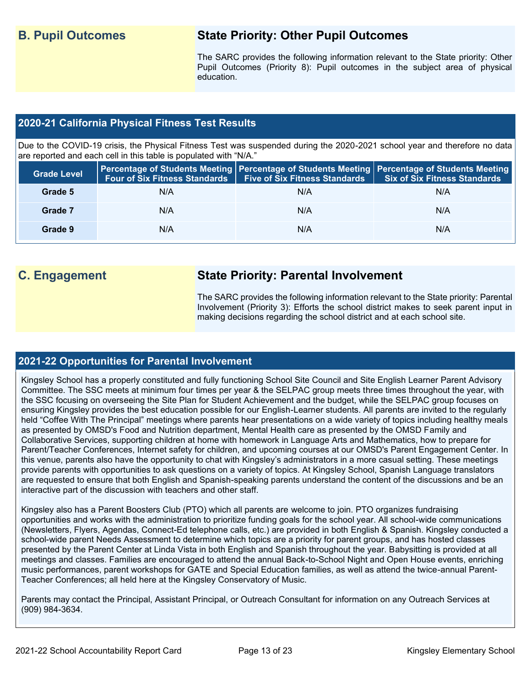## **B. Pupil Outcomes State Priority: Other Pupil Outcomes**

The SARC provides the following information relevant to the State priority: Other Pupil Outcomes (Priority 8): Pupil outcomes in the subject area of physical education.

## **2020-21 California Physical Fitness Test Results**

Due to the COVID-19 crisis, the Physical Fitness Test was suspended during the 2020-2021 school year and therefore no data are reported and each cell in this table is populated with "N/A."

| <b>Grade Level</b> |     | Four of Six Fitness Standards   Five of Six Fitness Standards | <b>Percentage of Students Meeting   Percentage of Students Meeting   Percentage of Students Meeting  </b><br>Six of Six Fitness Standards |
|--------------------|-----|---------------------------------------------------------------|-------------------------------------------------------------------------------------------------------------------------------------------|
| Grade 5            | N/A | N/A                                                           | N/A                                                                                                                                       |
| Grade 7            | N/A | N/A                                                           | N/A                                                                                                                                       |
| Grade 9            | N/A | N/A                                                           | N/A                                                                                                                                       |

## **C. Engagement State Priority: Parental Involvement**

The SARC provides the following information relevant to the State priority: Parental Involvement (Priority 3): Efforts the school district makes to seek parent input in making decisions regarding the school district and at each school site.

## **2021-22 Opportunities for Parental Involvement**

Kingsley School has a properly constituted and fully functioning School Site Council and Site English Learner Parent Advisory Committee. The SSC meets at minimum four times per year & the SELPAC group meets three times throughout the year, with the SSC focusing on overseeing the Site Plan for Student Achievement and the budget, while the SELPAC group focuses on ensuring Kingsley provides the best education possible for our English-Learner students. All parents are invited to the regularly held "Coffee With The Principal" meetings where parents hear presentations on a wide variety of topics including healthy meals as presented by OMSD's Food and Nutrition department, Mental Health care as presented by the OMSD Family and Collaborative Services, supporting children at home with homework in Language Arts and Mathematics, how to prepare for Parent/Teacher Conferences, Internet safety for children, and upcoming courses at our OMSD's Parent Engagement Center. In this venue, parents also have the opportunity to chat with Kingsley's administrators in a more casual setting. These meetings provide parents with opportunities to ask questions on a variety of topics. At Kingsley School, Spanish Language translators are requested to ensure that both English and Spanish-speaking parents understand the content of the discussions and be an interactive part of the discussion with teachers and other staff.

Kingsley also has a Parent Boosters Club (PTO) which all parents are welcome to join. PTO organizes fundraising opportunities and works with the administration to prioritize funding goals for the school year. All school-wide communications (Newsletters, Flyers, Agendas, Connect-Ed telephone calls, etc.) are provided in both English & Spanish. Kingsley conducted a school-wide parent Needs Assessment to determine which topics are a priority for parent groups, and has hosted classes presented by the Parent Center at Linda Vista in both English and Spanish throughout the year. Babysitting is provided at all meetings and classes. Families are encouraged to attend the annual Back-to-School Night and Open House events, enriching music performances, parent workshops for GATE and Special Education families, as well as attend the twice-annual Parent-Teacher Conferences; all held here at the Kingsley Conservatory of Music.

Parents may contact the Principal, Assistant Principal, or Outreach Consultant for information on any Outreach Services at (909) 984-3634.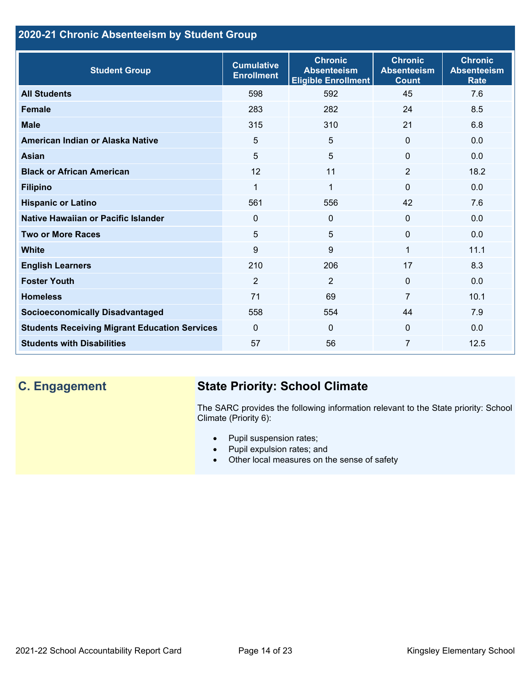## **2020-21 Chronic Absenteeism by Student Group**

| <b>Student Group</b>                                 | <b>Cumulative</b><br><b>Enrollment</b> | <b>Chronic</b><br><b>Absenteeism</b><br><b>Eligible Enrollment</b> | <b>Chronic</b><br><b>Absenteeism</b><br><b>Count</b> | <b>Chronic</b><br><b>Absenteeism</b><br><b>Rate</b> |
|------------------------------------------------------|----------------------------------------|--------------------------------------------------------------------|------------------------------------------------------|-----------------------------------------------------|
| <b>All Students</b>                                  | 598                                    | 592                                                                | 45                                                   | 7.6                                                 |
| <b>Female</b>                                        | 283                                    | 282                                                                | 24                                                   | 8.5                                                 |
| <b>Male</b>                                          | 315                                    | 310                                                                | 21                                                   | 6.8                                                 |
| American Indian or Alaska Native                     | 5                                      | 5                                                                  | $\mathbf{0}$                                         | 0.0                                                 |
| <b>Asian</b>                                         | 5                                      | 5                                                                  | $\mathbf 0$                                          | 0.0                                                 |
| <b>Black or African American</b>                     | 12                                     | 11                                                                 | $\overline{2}$                                       | 18.2                                                |
| <b>Filipino</b>                                      | $\mathbf{1}$                           | $\mathbf{1}$                                                       | $\mathbf{0}$                                         | 0.0                                                 |
| <b>Hispanic or Latino</b>                            | 561                                    | 556                                                                | 42                                                   | 7.6                                                 |
| Native Hawaiian or Pacific Islander                  | 0                                      | $\mathbf 0$                                                        | $\mathbf 0$                                          | 0.0                                                 |
| <b>Two or More Races</b>                             | 5                                      | 5                                                                  | $\mathbf{0}$                                         | 0.0                                                 |
| <b>White</b>                                         | 9                                      | 9                                                                  | 1                                                    | 11.1                                                |
| <b>English Learners</b>                              | 210                                    | 206                                                                | 17                                                   | 8.3                                                 |
| <b>Foster Youth</b>                                  | $\overline{2}$                         | $\overline{2}$                                                     | $\Omega$                                             | 0.0                                                 |
| <b>Homeless</b>                                      | 71                                     | 69                                                                 | $\overline{7}$                                       | 10.1                                                |
| <b>Socioeconomically Disadvantaged</b>               | 558                                    | 554                                                                | 44                                                   | 7.9                                                 |
| <b>Students Receiving Migrant Education Services</b> | $\mathbf{0}$                           | $\Omega$                                                           | $\mathbf{0}$                                         | 0.0                                                 |
| <b>Students with Disabilities</b>                    | 57                                     | 56                                                                 | 7                                                    | 12.5                                                |

## **C. Engagement State Priority: School Climate**

The SARC provides the following information relevant to the State priority: School Climate (Priority 6):

- Pupil suspension rates;
- Pupil expulsion rates; and
- Other local measures on the sense of safety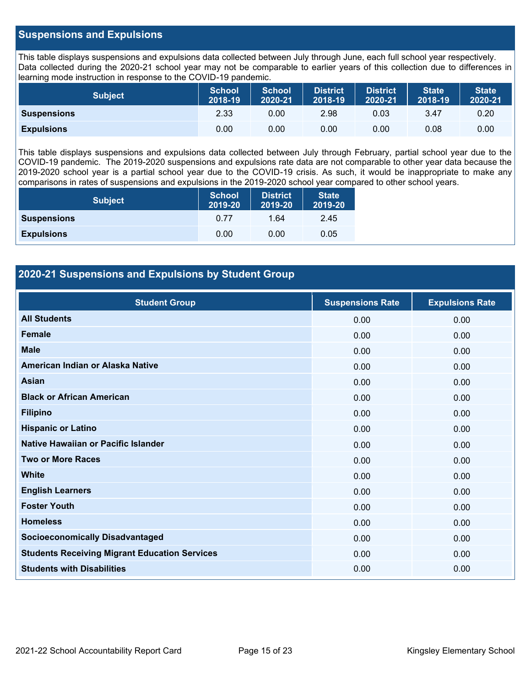## **Suspensions and Expulsions**

This table displays suspensions and expulsions data collected between July through June, each full school year respectively. Data collected during the 2020-21 school year may not be comparable to earlier years of this collection due to differences in learning mode instruction in response to the COVID-19 pandemic.

| <b>Subject</b>     | <b>School</b><br>2018-19 | <b>School</b><br>2020-21 | <b>District</b><br>2018-19 | <b>District</b><br>2020-21 | <b>State</b><br>2018-19 | <b>State</b><br>2020-21 |
|--------------------|--------------------------|--------------------------|----------------------------|----------------------------|-------------------------|-------------------------|
| <b>Suspensions</b> | 2.33                     | 0.00                     | 2.98                       | 0.03                       | 3.47                    | 0.20                    |
| <b>Expulsions</b>  | 0.00                     | 0.00                     | 0.00                       | 0.00                       | 0.08                    | 0.00                    |

This table displays suspensions and expulsions data collected between July through February, partial school year due to the COVID-19 pandemic. The 2019-2020 suspensions and expulsions rate data are not comparable to other year data because the 2019-2020 school year is a partial school year due to the COVID-19 crisis. As such, it would be inappropriate to make any comparisons in rates of suspensions and expulsions in the 2019-2020 school year compared to other school years.

| <b>Subject</b>     | <b>School</b><br>2019-20 | <b>District</b><br>2019-20 | <b>State</b><br>2019-20 |
|--------------------|--------------------------|----------------------------|-------------------------|
| <b>Suspensions</b> | 0.77                     | 1.64                       | 2.45                    |
| <b>Expulsions</b>  | 0.00                     | 0.00                       | 0.05                    |

## **2020-21 Suspensions and Expulsions by Student Group**

| <b>Student Group</b>                                 | <b>Suspensions Rate</b> | <b>Expulsions Rate</b> |
|------------------------------------------------------|-------------------------|------------------------|
| <b>All Students</b>                                  | 0.00                    | 0.00                   |
| <b>Female</b>                                        | 0.00                    | 0.00                   |
| <b>Male</b>                                          | 0.00                    | 0.00                   |
| American Indian or Alaska Native                     | 0.00                    | 0.00                   |
| <b>Asian</b>                                         | 0.00                    | 0.00                   |
| <b>Black or African American</b>                     | 0.00                    | 0.00                   |
| <b>Filipino</b>                                      | 0.00                    | 0.00                   |
| <b>Hispanic or Latino</b>                            | 0.00                    | 0.00                   |
| Native Hawaiian or Pacific Islander                  | 0.00                    | 0.00                   |
| <b>Two or More Races</b>                             | 0.00                    | 0.00                   |
| <b>White</b>                                         | 0.00                    | 0.00                   |
| <b>English Learners</b>                              | 0.00                    | 0.00                   |
| <b>Foster Youth</b>                                  | 0.00                    | 0.00                   |
| <b>Homeless</b>                                      | 0.00                    | 0.00                   |
| <b>Socioeconomically Disadvantaged</b>               | 0.00                    | 0.00                   |
| <b>Students Receiving Migrant Education Services</b> | 0.00                    | 0.00                   |
| <b>Students with Disabilities</b>                    | 0.00                    | 0.00                   |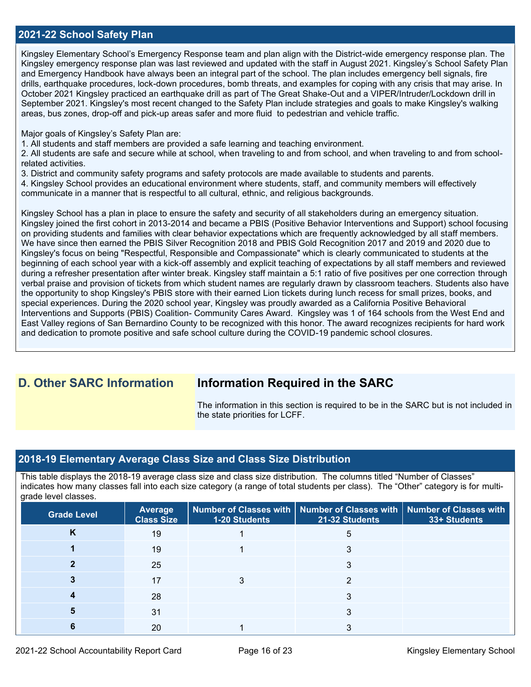## **2021-22 School Safety Plan**

Kingsley Elementary School's Emergency Response team and plan align with the District-wide emergency response plan. The Kingsley emergency response plan was last reviewed and updated with the staff in August 2021. Kingsley's School Safety Plan and Emergency Handbook have always been an integral part of the school. The plan includes emergency bell signals, fire drills, earthquake procedures, lock-down procedures, bomb threats, and examples for coping with any crisis that may arise. In October 2021 Kingsley practiced an earthquake drill as part of The Great Shake-Out and a VIPER/Intruder/Lockdown drill in September 2021. Kingsley's most recent changed to the Safety Plan include strategies and goals to make Kingsley's walking areas, bus zones, drop-off and pick-up areas safer and more fluid to pedestrian and vehicle traffic.

Major goals of Kingsley's Safety Plan are:

1. All students and staff members are provided a safe learning and teaching environment.

2. All students are safe and secure while at school, when traveling to and from school, and when traveling to and from schoolrelated activities.

3. District and community safety programs and safety protocols are made available to students and parents.

4. Kingsley School provides an educational environment where students, staff, and community members will effectively communicate in a manner that is respectful to all cultural, ethnic, and religious backgrounds.

Kingsley School has a plan in place to ensure the safety and security of all stakeholders during an emergency situation. Kingsley joined the first cohort in 2013-2014 and became a PBIS (Positive Behavior Interventions and Support) school focusing on providing students and families with clear behavior expectations which are frequently acknowledged by all staff members. We have since then earned the PBIS Silver Recognition 2018 and PBIS Gold Recognition 2017 and 2019 and 2020 due to Kingsley's focus on being "Respectful, Responsible and Compassionate" which is clearly communicated to students at the beginning of each school year with a kick-off assembly and explicit teaching of expectations by all staff members and reviewed during a refresher presentation after winter break. Kingsley staff maintain a 5:1 ratio of five positives per one correction through verbal praise and provision of tickets from which student names are regularly drawn by classroom teachers. Students also have the opportunity to shop Kingsley's PBIS store with their earned Lion tickets during lunch recess for small prizes, books, and special experiences. During the 2020 school year, Kingsley was proudly awarded as a California Positive Behavioral Interventions and Supports (PBIS) Coalition- Community Cares Award. Kingsley was 1 of 164 schools from the West End and East Valley regions of San Bernardino County to be recognized with this honor. The award recognizes recipients for hard work and dedication to promote positive and safe school culture during the COVID-19 pandemic school closures.

## **D. Other SARC Information Information Required in the SARC**

The information in this section is required to be in the SARC but is not included in the state priorities for LCFF.

### **2018-19 Elementary Average Class Size and Class Size Distribution**

This table displays the 2018-19 average class size and class size distribution. The columns titled "Number of Classes" indicates how many classes fall into each size category (a range of total students per class). The "Other" category is for multigrade level classes.

| <b>Grade Level</b> | <b>Average</b><br><b>Class Size</b> | 1-20 Students | Number of Classes with   Number of Classes with   Number of Classes with<br>21-32 Students | 33+ Students |
|--------------------|-------------------------------------|---------------|--------------------------------------------------------------------------------------------|--------------|
| Κ                  | 19                                  |               | 5                                                                                          |              |
|                    | 19                                  |               |                                                                                            |              |
|                    | 25                                  |               |                                                                                            |              |
|                    | 17                                  |               |                                                                                            |              |
|                    | 28                                  |               |                                                                                            |              |
|                    | 31                                  |               | 3                                                                                          |              |
|                    | 20                                  |               |                                                                                            |              |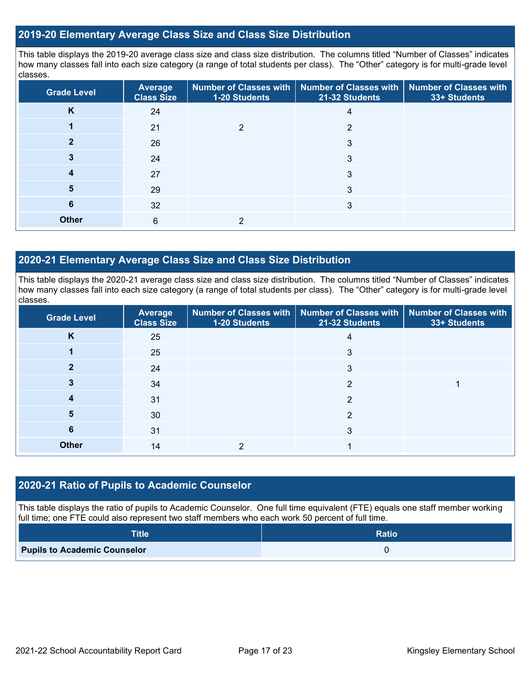### **2019-20 Elementary Average Class Size and Class Size Distribution**

This table displays the 2019-20 average class size and class size distribution. The columns titled "Number of Classes" indicates how many classes fall into each size category (a range of total students per class). The "Other" category is for multi-grade level classes.

| <b>Grade Level</b> | <b>Average</b><br><b>Class Size</b> | 1-20 Students | Number of Classes with   Number of Classes with<br><b>Number of Classes with</b><br>21-32 Students |  |
|--------------------|-------------------------------------|---------------|----------------------------------------------------------------------------------------------------|--|
| K                  | 24                                  |               | 4                                                                                                  |  |
|                    | 21                                  | っ             | 2                                                                                                  |  |
|                    | 26                                  |               | 3                                                                                                  |  |
|                    | 24                                  |               | 3                                                                                                  |  |
| 4                  | 27                                  |               | 3                                                                                                  |  |
| 5                  | 29                                  |               | 3                                                                                                  |  |
| 6                  | 32                                  |               | 3                                                                                                  |  |
| <b>Other</b>       | 6                                   | っ             |                                                                                                    |  |

## **2020-21 Elementary Average Class Size and Class Size Distribution**

This table displays the 2020-21 average class size and class size distribution. The columns titled "Number of Classes" indicates how many classes fall into each size category (a range of total students per class). The "Other" category is for multi-grade level classes.

| <b>Grade Level</b> | Average<br><b>Class Size</b> | 1-20 Students | Number of Classes with   Number of Classes with   Number of Classes with<br>21-32 Students | 33+ Students |
|--------------------|------------------------------|---------------|--------------------------------------------------------------------------------------------|--------------|
| K                  | 25                           |               | 4                                                                                          |              |
|                    | 25                           |               | 3                                                                                          |              |
| 2                  | 24                           |               | 3                                                                                          |              |
|                    | 34                           |               | 2                                                                                          |              |
|                    | 31                           |               | っ                                                                                          |              |
| 5                  | 30                           |               | 2                                                                                          |              |
| 6                  | 31                           |               | 3                                                                                          |              |
| <b>Other</b>       | 14                           | っ             |                                                                                            |              |

### **2020-21 Ratio of Pupils to Academic Counselor**

This table displays the ratio of pupils to Academic Counselor. One full time equivalent (FTE) equals one staff member working full time; one FTE could also represent two staff members who each work 50 percent of full time.

| <b>Title</b>                        | <b>Ratio</b> |
|-------------------------------------|--------------|
| <b>Pupils to Academic Counselor</b> |              |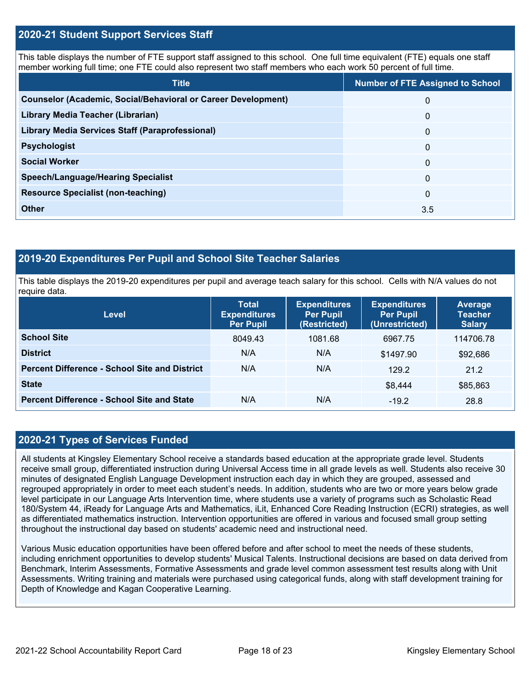## **2020-21 Student Support Services Staff**

This table displays the number of FTE support staff assigned to this school. One full time equivalent (FTE) equals one staff member working full time; one FTE could also represent two staff members who each work 50 percent of full time.

| <b>Title</b>                                                         | <b>Number of FTE Assigned to School</b> |
|----------------------------------------------------------------------|-----------------------------------------|
| <b>Counselor (Academic, Social/Behavioral or Career Development)</b> | $\mathbf{0}$                            |
| Library Media Teacher (Librarian)                                    | $\mathbf{0}$                            |
| Library Media Services Staff (Paraprofessional)                      | 0                                       |
| <b>Psychologist</b>                                                  | $\mathbf{0}$                            |
| <b>Social Worker</b>                                                 | $\mathbf{0}$                            |
| <b>Speech/Language/Hearing Specialist</b>                            | $\mathbf{0}$                            |
| <b>Resource Specialist (non-teaching)</b>                            | $\mathbf{0}$                            |
| <b>Other</b>                                                         | 3.5                                     |

## **2019-20 Expenditures Per Pupil and School Site Teacher Salaries**

This table displays the 2019-20 expenditures per pupil and average teach salary for this school. Cells with N/A values do not require data.

| <b>Level</b>                                         | <b>Total</b><br><b>Expenditures</b><br><b>Per Pupil</b> | <b>Expenditures</b><br><b>Per Pupil</b><br>(Restricted) | <b>Expenditures</b><br><b>Per Pupil</b><br>(Unrestricted) | Average<br><b>Teacher</b><br><b>Salary</b> |
|------------------------------------------------------|---------------------------------------------------------|---------------------------------------------------------|-----------------------------------------------------------|--------------------------------------------|
| <b>School Site</b>                                   | 8049.43                                                 | 1081.68                                                 | 6967.75                                                   | 114706.78                                  |
| <b>District</b>                                      | N/A                                                     | N/A                                                     | \$1497.90                                                 | \$92,686                                   |
| <b>Percent Difference - School Site and District</b> | N/A                                                     | N/A                                                     | 129.2                                                     | 21.2                                       |
| <b>State</b>                                         |                                                         |                                                         | \$8,444                                                   | \$85,863                                   |
| <b>Percent Difference - School Site and State</b>    | N/A                                                     | N/A                                                     | $-19.2$                                                   | 28.8                                       |

## **2020-21 Types of Services Funded**

All students at Kingsley Elementary School receive a standards based education at the appropriate grade level. Students receive small group, differentiated instruction during Universal Access time in all grade levels as well. Students also receive 30 minutes of designated English Language Development instruction each day in which they are grouped, assessed and regrouped appropriately in order to meet each student's needs. In addition, students who are two or more years below grade level participate in our Language Arts Intervention time, where students use a variety of programs such as Scholastic Read 180/System 44, iReady for Language Arts and Mathematics, iLit, Enhanced Core Reading Instruction (ECRI) strategies, as well as differentiated mathematics instruction. Intervention opportunities are offered in various and focused small group setting throughout the instructional day based on students' academic need and instructional need.

Various Music education opportunities have been offered before and after school to meet the needs of these students, including enrichment opportunities to develop students' Musical Talents. Instructional decisions are based on data derived from Benchmark, Interim Assessments, Formative Assessments and grade level common assessment test results along with Unit Assessments. Writing training and materials were purchased using categorical funds, along with staff development training for Depth of Knowledge and Kagan Cooperative Learning.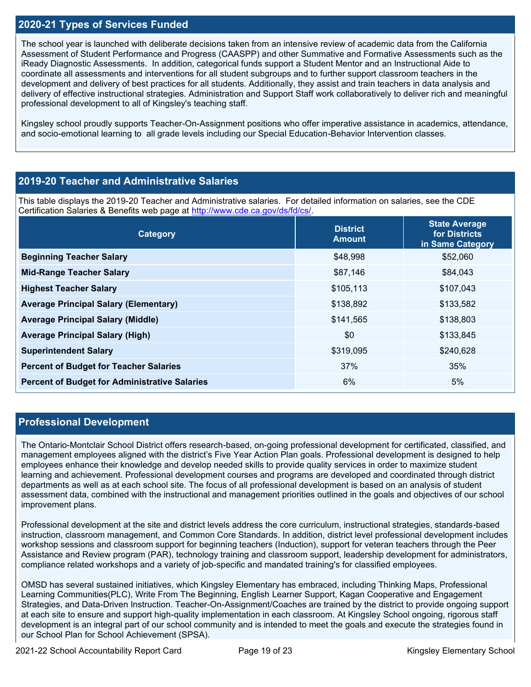## **2020-21 Types of Services Funded**

The school year is launched with deliberate decisions taken from an intensive review of academic data from the California Assessment of Student Performance and Progress (CAASPP) and other Summative and Formative Assessments such as the iReady Diagnostic Assessments. In addition, categorical funds support a Student Mentor and an Instructional Aide to coordinate all assessments and interventions for all student subgroups and to further support classroom teachers in the development and delivery of best practices for all students. Additionally, they assist and train teachers in data analysis and delivery of effective instructional strategies. Administration and Support Staff work collaboratively to deliver rich and meaningful professional development to all of Kingsley's teaching staff.

Kingsley school proudly supports Teacher-On-Assignment positions who offer imperative assistance in academics, attendance, and socio-emotional learning to all grade levels including our Special Education-Behavior Intervention classes.

## **2019-20 Teacher and Administrative Salaries**

This table displays the 2019-20 Teacher and Administrative salaries. For detailed information on salaries, see the CDE Certification Salaries & Benefits web page at [http://www.cde.ca.gov/ds/fd/cs/.](http://www.cde.ca.gov/ds/fd/cs/)

| Category                                             | <b>District</b><br><b>Amount</b> | <b>State Average</b><br>for Districts<br>in Same Category |
|------------------------------------------------------|----------------------------------|-----------------------------------------------------------|
| <b>Beginning Teacher Salary</b>                      | \$48,998                         | \$52,060                                                  |
| <b>Mid-Range Teacher Salary</b>                      | \$87,146                         | \$84,043                                                  |
| <b>Highest Teacher Salary</b>                        | \$105,113                        | \$107,043                                                 |
| <b>Average Principal Salary (Elementary)</b>         | \$138,892                        | \$133,582                                                 |
| <b>Average Principal Salary (Middle)</b>             | \$141,565                        | \$138,803                                                 |
| <b>Average Principal Salary (High)</b>               | \$0                              | \$133,845                                                 |
| <b>Superintendent Salary</b>                         | \$319,095                        | \$240,628                                                 |
| <b>Percent of Budget for Teacher Salaries</b>        | 37%                              | 35%                                                       |
| <b>Percent of Budget for Administrative Salaries</b> | 6%                               | 5%                                                        |

## **Professional Development**

The Ontario-Montclair School District offers research-based, on-going professional development for certificated, classified, and management employees aligned with the district's Five Year Action Plan goals. Professional development is designed to help employees enhance their knowledge and develop needed skills to provide quality services in order to maximize student learning and achievement. Professional development courses and programs are developed and coordinated through district departments as well as at each school site. The focus of all professional development is based on an analysis of student assessment data, combined with the instructional and management priorities outlined in the goals and objectives of our school improvement plans.

Professional development at the site and district levels address the core curriculum, instructional strategies, standards-based instruction, classroom management, and Common Core Standards. In addition, district level professional development includes workshop sessions and classroom support for beginning teachers (Induction), support for veteran teachers through the Peer Assistance and Review program (PAR), technology training and classroom support, leadership development for administrators, compliance related workshops and a variety of job-specific and mandated training's for classified employees.

OMSD has several sustained initiatives, which Kingsley Elementary has embraced, including Thinking Maps, Professional Learning Communities(PLC), Write From The Beginning, English Learner Support, Kagan Cooperative and Engagement Strategies, and Data-Driven Instruction. Teacher-On-Assignment/Coaches are trained by the district to provide ongoing support at each site to ensure and support high-quality implementation in each classroom. At Kingsley School ongoing, rigorous staff development is an integral part of our school community and is intended to meet the goals and execute the strategies found in our School Plan for School Achievement (SPSA).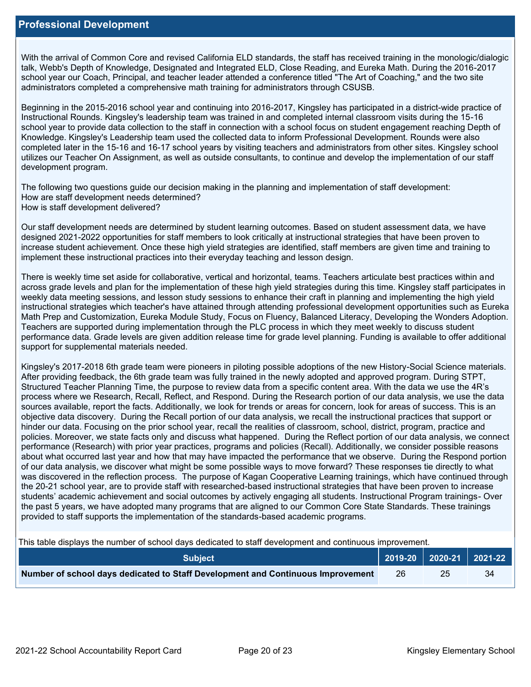With the arrival of Common Core and revised California ELD standards, the staff has received training in the monologic/dialogic talk, Webb's Depth of Knowledge, Designated and Integrated ELD, Close Reading, and Eureka Math. During the 2016-2017 school year our Coach, Principal, and teacher leader attended a conference titled "The Art of Coaching," and the two site administrators completed a comprehensive math training for administrators through CSUSB.

Beginning in the 2015-2016 school year and continuing into 2016-2017, Kingsley has participated in a district-wide practice of Instructional Rounds. Kingsley's leadership team was trained in and completed internal classroom visits during the 15-16 school year to provide data collection to the staff in connection with a school focus on student engagement reaching Depth of Knowledge. Kingsley's Leadership team used the collected data to inform Professional Development. Rounds were also completed later in the 15-16 and 16-17 school years by visiting teachers and administrators from other sites. Kingsley school utilizes our Teacher On Assignment, as well as outside consultants, to continue and develop the implementation of our staff development program.

The following two questions guide our decision making in the planning and implementation of staff development: How are staff development needs determined? How is staff development delivered?

Our staff development needs are determined by student learning outcomes. Based on student assessment data, we have designed 2021-2022 opportunities for staff members to look critically at instructional strategies that have been proven to increase student achievement. Once these high yield strategies are identified, staff members are given time and training to implement these instructional practices into their everyday teaching and lesson design.

There is weekly time set aside for collaborative, vertical and horizontal, teams. Teachers articulate best practices within and across grade levels and plan for the implementation of these high yield strategies during this time. Kingsley staff participates in weekly data meeting sessions, and lesson study sessions to enhance their craft in planning and implementing the high yield instructional strategies which teacher's have attained through attending professional development opportunities such as Eureka Math Prep and Customization, Eureka Module Study, Focus on Fluency, Balanced Literacy, Developing the Wonders Adoption. Teachers are supported during implementation through the PLC process in which they meet weekly to discuss student performance data. Grade levels are given addition release time for grade level planning. Funding is available to offer additional support for supplemental materials needed.

Kingsley's 2017-2018 6th grade team were pioneers in piloting possible adoptions of the new History-Social Science materials. After providing feedback, the 6th grade team was fully trained in the newly adopted and approved program. During STPT, Structured Teacher Planning Time, the purpose to review data from a specific content area. With the data we use the 4R's process where we Research, Recall, Reflect, and Respond. During the Research portion of our data analysis, we use the data sources available, report the facts. Additionally, we look for trends or areas for concern, look for areas of success. This is an objective data discovery. During the Recall portion of our data analysis, we recall the instructional practices that support or hinder our data. Focusing on the prior school year, recall the realities of classroom, school, district, program, practice and policies. Moreover, we state facts only and discuss what happened. During the Reflect portion of our data analysis, we connect performance (Research) with prior year practices, programs and policies (Recall). Additionally, we consider possible reasons about what occurred last year and how that may have impacted the performance that we observe. During the Respond portion of our data analysis, we discover what might be some possible ways to move forward? These responses tie directly to what was discovered in the reflection process. The purpose of Kagan Cooperative Learning trainings, which have continued through the 20-21 school year, are to provide staff with researched-based instructional strategies that have been proven to increase students' academic achievement and social outcomes by actively engaging all students. Instructional Program trainings- Over the past 5 years, we have adopted many programs that are aligned to our Common Core State Standards. These trainings provided to staff supports the implementation of the standards-based academic programs.

This table displays the number of school days dedicated to staff development and continuous improvement.

| <b>Subject</b>                                                                  |    |    |
|---------------------------------------------------------------------------------|----|----|
| Number of school days dedicated to Staff Development and Continuous Improvement | 26 | 34 |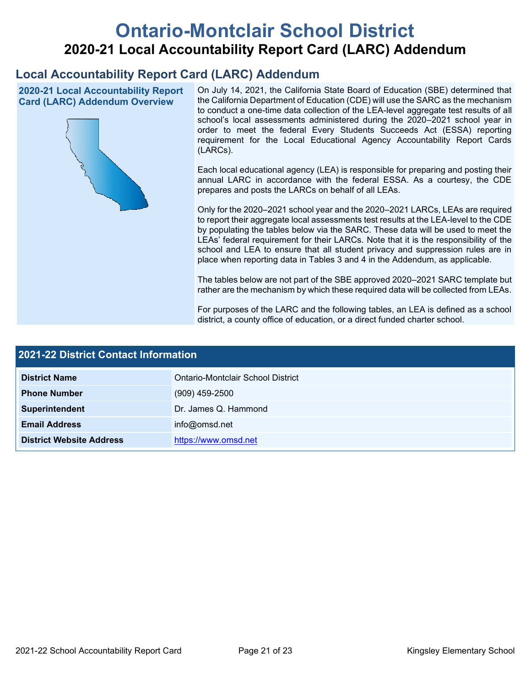# **Ontario-Montclair School District 2020-21 Local Accountability Report Card (LARC) Addendum**

## **Local Accountability Report Card (LARC) Addendum**

**2020-21 Local Accountability Report Card (LARC) Addendum Overview**



On July 14, 2021, the California State Board of Education (SBE) determined that the California Department of Education (CDE) will use the SARC as the mechanism to conduct a one-time data collection of the LEA-level aggregate test results of all school's local assessments administered during the 2020–2021 school year in order to meet the federal Every Students Succeeds Act (ESSA) reporting requirement for the Local Educational Agency Accountability Report Cards (LARCs).

Each local educational agency (LEA) is responsible for preparing and posting their annual LARC in accordance with the federal ESSA. As a courtesy, the CDE prepares and posts the LARCs on behalf of all LEAs.

Only for the 2020–2021 school year and the 2020–2021 LARCs, LEAs are required to report their aggregate local assessments test results at the LEA-level to the CDE by populating the tables below via the SARC. These data will be used to meet the LEAs' federal requirement for their LARCs. Note that it is the responsibility of the school and LEA to ensure that all student privacy and suppression rules are in place when reporting data in Tables 3 and 4 in the Addendum, as applicable.

The tables below are not part of the SBE approved 2020–2021 SARC template but rather are the mechanism by which these required data will be collected from LEAs.

For purposes of the LARC and the following tables, an LEA is defined as a school district, a county office of education, or a direct funded charter school.

| 2021-22 District Contact Information |                                   |  |  |  |  |
|--------------------------------------|-----------------------------------|--|--|--|--|
| <b>District Name</b>                 | Ontario-Montclair School District |  |  |  |  |
| <b>Phone Number</b>                  | $(909)$ 459-2500                  |  |  |  |  |
| Superintendent                       | Dr. James Q. Hammond              |  |  |  |  |
| <b>Email Address</b>                 | info@omsd.net                     |  |  |  |  |
| <b>District Website Address</b>      | https://www.omsd.net              |  |  |  |  |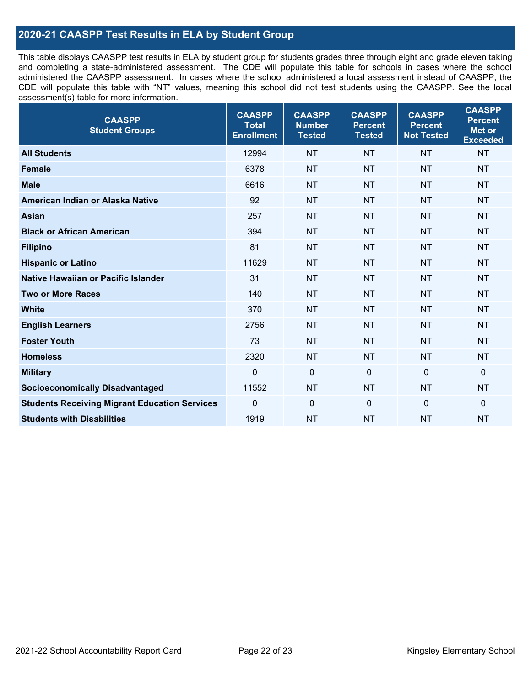## **2020-21 CAASPP Test Results in ELA by Student Group**

This table displays CAASPP test results in ELA by student group for students grades three through eight and grade eleven taking and completing a state-administered assessment. The CDE will populate this table for schools in cases where the school administered the CAASPP assessment. In cases where the school administered a local assessment instead of CAASPP, the CDE will populate this table with "NT" values, meaning this school did not test students using the CAASPP. See the local assessment(s) table for more information.

| <b>CAASPP</b><br><b>Student Groups</b>               | <b>CAASPP</b><br><b>Total</b><br><b>Enrollment</b> | <b>CAASPP</b><br><b>Number</b><br><b>Tested</b> | <b>CAASPP</b><br><b>Percent</b><br><b>Tested</b> | <b>CAASPP</b><br><b>Percent</b><br><b>Not Tested</b> | <b>CAASPP</b><br><b>Percent</b><br>Met or<br><b>Exceeded</b> |
|------------------------------------------------------|----------------------------------------------------|-------------------------------------------------|--------------------------------------------------|------------------------------------------------------|--------------------------------------------------------------|
| <b>All Students</b>                                  | 12994                                              | <b>NT</b>                                       | <b>NT</b>                                        | <b>NT</b>                                            | <b>NT</b>                                                    |
| <b>Female</b>                                        | 6378                                               | <b>NT</b>                                       | <b>NT</b>                                        | <b>NT</b>                                            | <b>NT</b>                                                    |
| <b>Male</b>                                          | 6616                                               | <b>NT</b>                                       | <b>NT</b>                                        | <b>NT</b>                                            | <b>NT</b>                                                    |
| American Indian or Alaska Native                     | 92                                                 | <b>NT</b>                                       | <b>NT</b>                                        | <b>NT</b>                                            | <b>NT</b>                                                    |
| <b>Asian</b>                                         | 257                                                | <b>NT</b>                                       | <b>NT</b>                                        | <b>NT</b>                                            | <b>NT</b>                                                    |
| <b>Black or African American</b>                     | 394                                                | <b>NT</b>                                       | <b>NT</b>                                        | <b>NT</b>                                            | <b>NT</b>                                                    |
| <b>Filipino</b>                                      | 81                                                 | <b>NT</b>                                       | <b>NT</b>                                        | <b>NT</b>                                            | <b>NT</b>                                                    |
| <b>Hispanic or Latino</b>                            | 11629                                              | <b>NT</b>                                       | <b>NT</b>                                        | <b>NT</b>                                            | NT                                                           |
| Native Hawaiian or Pacific Islander                  | 31                                                 | <b>NT</b>                                       | <b>NT</b>                                        | <b>NT</b>                                            | <b>NT</b>                                                    |
| <b>Two or More Races</b>                             | 140                                                | <b>NT</b>                                       | <b>NT</b>                                        | <b>NT</b>                                            | <b>NT</b>                                                    |
| <b>White</b>                                         | 370                                                | <b>NT</b>                                       | <b>NT</b>                                        | <b>NT</b>                                            | <b>NT</b>                                                    |
| <b>English Learners</b>                              | 2756                                               | <b>NT</b>                                       | <b>NT</b>                                        | <b>NT</b>                                            | <b>NT</b>                                                    |
| <b>Foster Youth</b>                                  | 73                                                 | <b>NT</b>                                       | <b>NT</b>                                        | <b>NT</b>                                            | <b>NT</b>                                                    |
| <b>Homeless</b>                                      | 2320                                               | <b>NT</b>                                       | <b>NT</b>                                        | <b>NT</b>                                            | <b>NT</b>                                                    |
| <b>Military</b>                                      | $\mathbf 0$                                        | $\mathbf 0$                                     | $\mathbf 0$                                      | $\mathbf 0$                                          | 0                                                            |
| <b>Socioeconomically Disadvantaged</b>               | 11552                                              | <b>NT</b>                                       | <b>NT</b>                                        | <b>NT</b>                                            | <b>NT</b>                                                    |
| <b>Students Receiving Migrant Education Services</b> | 0                                                  | $\mathbf 0$                                     | $\mathbf 0$                                      | $\mathbf 0$                                          | 0                                                            |
| <b>Students with Disabilities</b>                    | 1919                                               | <b>NT</b>                                       | <b>NT</b>                                        | <b>NT</b>                                            | <b>NT</b>                                                    |